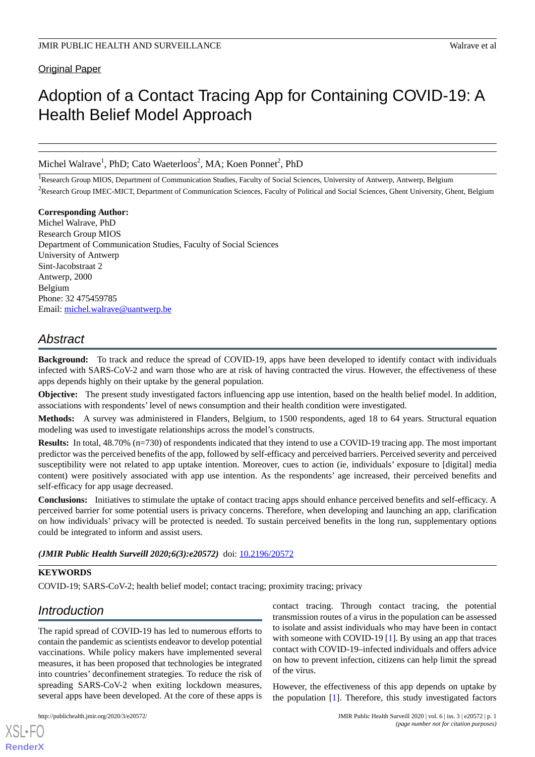Original Paper

# Adoption of a Contact Tracing App for Containing COVID-19: A Health Belief Model Approach

Michel Walrave<sup>1</sup>, PhD; Cato Waeterloos<sup>2</sup>, MA; Koen Ponnet<sup>2</sup>, PhD

<sup>1</sup>Research Group MIOS, Department of Communication Studies, Faculty of Social Sciences, University of Antwerp, Antwerp, Belgium <sup>2</sup>Research Group IMEC-MICT, Department of Communication Sciences, Faculty of Political and Social Sciences, Ghent University, Ghent, Belgium

**Corresponding Author:** Michel Walrave, PhD Research Group MIOS Department of Communication Studies, Faculty of Social Sciences University of Antwerp Sint-Jacobstraat 2 Antwerp, 2000 Belgium Phone: 32 475459785 Email: [michel.walrave@uantwerp.be](mailto:michel.walrave@uantwerp.be)

# *Abstract*

**Background:** To track and reduce the spread of COVID-19, apps have been developed to identify contact with individuals infected with SARS-CoV-2 and warn those who are at risk of having contracted the virus. However, the effectiveness of these apps depends highly on their uptake by the general population.

**Objective:** The present study investigated factors influencing app use intention, based on the health belief model. In addition, associations with respondents' level of news consumption and their health condition were investigated.

**Methods:** A survey was administered in Flanders, Belgium, to 1500 respondents, aged 18 to 64 years. Structural equation modeling was used to investigate relationships across the model's constructs.

**Results:** In total, 48.70% (n=730) of respondents indicated that they intend to use a COVID-19 tracing app. The most important predictor was the perceived benefits of the app, followed by self-efficacy and perceived barriers. Perceived severity and perceived susceptibility were not related to app uptake intention. Moreover, cues to action (ie, individuals' exposure to [digital] media content) were positively associated with app use intention. As the respondents' age increased, their perceived benefits and self-efficacy for app usage decreased.

**Conclusions:** Initiatives to stimulate the uptake of contact tracing apps should enhance perceived benefits and self-efficacy. A perceived barrier for some potential users is privacy concerns. Therefore, when developing and launching an app, clarification on how individuals' privacy will be protected is needed. To sustain perceived benefits in the long run, supplementary options could be integrated to inform and assist users.

*(JMIR Public Health Surveill 2020;6(3):e20572)* doi: [10.2196/20572](http://dx.doi.org/10.2196/20572)

### **KEYWORDS**

COVID-19; SARS-CoV-2; health belief model; contact tracing; proximity tracing; privacy

# *Introduction*

The rapid spread of COVID-19 has led to numerous efforts to contain the pandemic as scientists endeavor to develop potential vaccinations. While policy makers have implemented several measures, it has been proposed that technologies be integrated into countries' deconfinement strategies. To reduce the risk of spreading SARS-CoV-2 when exiting lockdown measures, several apps have been developed. At the core of these apps is

[XSL](http://www.w3.org/Style/XSL)•FO **[RenderX](http://www.renderx.com/)**

contact tracing. Through contact tracing, the potential transmission routes of a virus in the population can be assessed to isolate and assist individuals who may have been in contact with someone with COVID-19 [\[1](#page-7-0)]. By using an app that traces contact with COVID-19–infected individuals and offers advice on how to prevent infection, citizens can help limit the spread of the virus.

However, the effectiveness of this app depends on uptake by the population [[1\]](#page-7-0). Therefore, this study investigated factors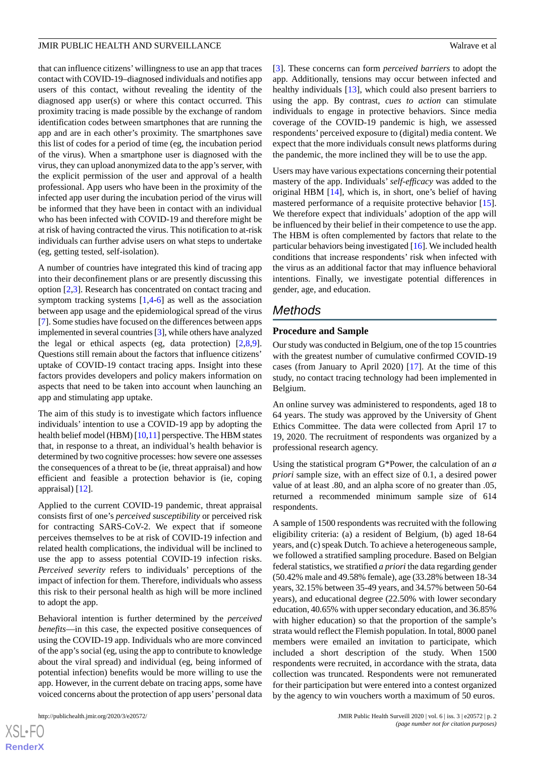that can influence citizens'willingness to use an app that traces contact with COVID-19–diagnosed individuals and notifies app users of this contact, without revealing the identity of the diagnosed app user(s) or where this contact occurred. This proximity tracing is made possible by the exchange of random identification codes between smartphones that are running the app and are in each other's proximity. The smartphones save this list of codes for a period of time (eg, the incubation period of the virus). When a smartphone user is diagnosed with the virus, they can upload anonymized data to the app's server, with the explicit permission of the user and approval of a health professional. App users who have been in the proximity of the infected app user during the incubation period of the virus will be informed that they have been in contact with an individual who has been infected with COVID-19 and therefore might be at risk of having contracted the virus. This notification to at-risk individuals can further advise users on what steps to undertake (eg, getting tested, self-isolation).

A number of countries have integrated this kind of tracing app into their deconfinement plans or are presently discussing this option [[2](#page-7-1)[,3](#page-7-2)]. Research has concentrated on contact tracing and symptom tracking systems [[1,](#page-7-0)[4](#page-7-3)[-6](#page-7-4)] as well as the association between app usage and the epidemiological spread of the virus [[7\]](#page-7-5). Some studies have focused on the differences between apps implemented in several countries [\[3\]](#page-7-2), while others have analyzed the legal or ethical aspects (eg, data protection)  $[2,8,9]$  $[2,8,9]$  $[2,8,9]$  $[2,8,9]$  $[2,8,9]$ . Questions still remain about the factors that influence citizens' uptake of COVID-19 contact tracing apps. Insight into these factors provides developers and policy makers information on aspects that need to be taken into account when launching an app and stimulating app uptake.

The aim of this study is to investigate which factors influence individuals' intention to use a COVID-19 app by adopting the health belief model (HBM)  $[10,11]$  $[10,11]$  $[10,11]$  perspective. The HBM states that, in response to a threat, an individual's health behavior is determined by two cognitive processes: how severe one assesses the consequences of a threat to be (ie, threat appraisal) and how efficient and feasible a protection behavior is (ie, coping appraisal) [[12\]](#page-8-0).

Applied to the current COVID-19 pandemic, threat appraisal consists first of one's *perceived susceptibility* or perceived risk for contracting SARS-CoV-2. We expect that if someone perceives themselves to be at risk of COVID-19 infection and related health complications, the individual will be inclined to use the app to assess potential COVID-19 infection risks. *Perceived severity* refers to individuals' perceptions of the impact of infection for them. Therefore, individuals who assess this risk to their personal health as high will be more inclined to adopt the app.

Behavioral intention is further determined by the *perceived benefits*—in this case, the expected positive consequences of using the COVID-19 app. Individuals who are more convinced of the app's social (eg, using the app to contribute to knowledge about the viral spread) and individual (eg, being informed of potential infection) benefits would be more willing to use the app. However, in the current debate on tracing apps, some have voiced concerns about the protection of app users'personal data

[[3\]](#page-7-2). These concerns can form *perceived barriers* to adopt the app. Additionally, tensions may occur between infected and healthy individuals [\[13](#page-8-1)], which could also present barriers to using the app. By contrast, *cues to action* can stimulate individuals to engage in protective behaviors. Since media coverage of the COVID-19 pandemic is high, we assessed respondents' perceived exposure to (digital) media content. We expect that the more individuals consult news platforms during the pandemic, the more inclined they will be to use the app.

Users may have various expectations concerning their potential mastery of the app. Individuals' *self-efficacy* was added to the original HBM [\[14](#page-8-2)], which is, in short, one's belief of having mastered performance of a requisite protective behavior [[15\]](#page-8-3). We therefore expect that individuals' adoption of the app will be influenced by their belief in their competence to use the app. The HBM is often complemented by factors that relate to the particular behaviors being investigated [\[16\]](#page-8-4). We included health conditions that increase respondents' risk when infected with the virus as an additional factor that may influence behavioral intentions. Finally, we investigate potential differences in gender, age, and education.

## *Methods*

#### **Procedure and Sample**

Our study was conducted in Belgium, one of the top 15 countries with the greatest number of cumulative confirmed COVID-19 cases (from January to April 2020) [[17\]](#page-8-5). At the time of this study, no contact tracing technology had been implemented in Belgium.

An online survey was administered to respondents, aged 18 to 64 years. The study was approved by the University of Ghent Ethics Committee. The data were collected from April 17 to 19, 2020. The recruitment of respondents was organized by a professional research agency.

Using the statistical program G\*Power, the calculation of an *a priori* sample size, with an effect size of 0.1, a desired power value of at least .80, and an alpha score of no greater than .05, returned a recommended minimum sample size of 614 respondents.

A sample of 1500 respondents was recruited with the following eligibility criteria: (a) a resident of Belgium, (b) aged 18-64 years, and (c) speak Dutch. To achieve a heterogeneous sample, we followed a stratified sampling procedure. Based on Belgian federal statistics, we stratified *a priori*the data regarding gender (50.42% male and 49.58% female), age (33.28% between 18-34 years, 32.15% between 35-49 years, and 34.57% between 50-64 years), and educational degree (22.50% with lower secondary education, 40.65% with upper secondary education, and 36.85% with higher education) so that the proportion of the sample's strata would reflect the Flemish population. In total, 8000 panel members were emailed an invitation to participate, which included a short description of the study. When 1500 respondents were recruited, in accordance with the strata, data collection was truncated. Respondents were not remunerated for their participation but were entered into a contest organized by the agency to win vouchers worth a maximum of 50 euros.

```
XS\cdotFC
RenderX
```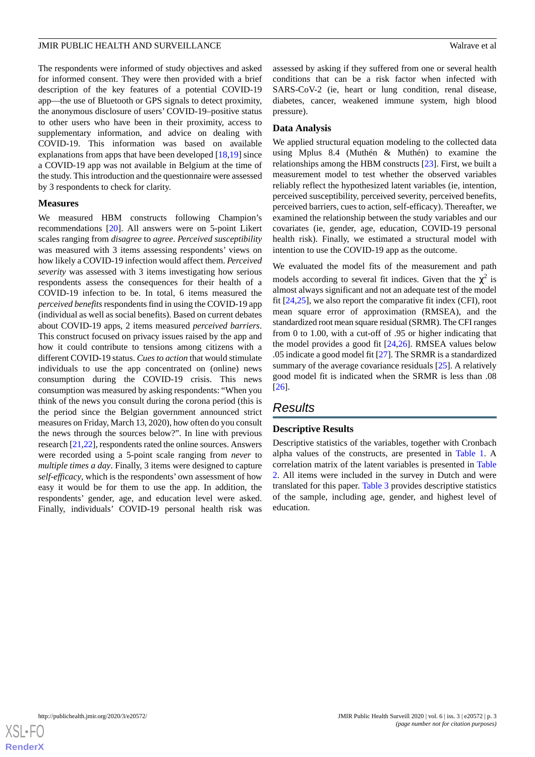The respondents were informed of study objectives and asked for informed consent. They were then provided with a brief description of the key features of a potential COVID-19 app—the use of Bluetooth or GPS signals to detect proximity, the anonymous disclosure of users' COVID-19–positive status to other users who have been in their proximity, access to supplementary information, and advice on dealing with COVID-19. This information was based on available explanations from apps that have been developed [[18,](#page-8-6)[19\]](#page-8-7) since a COVID-19 app was not available in Belgium at the time of the study. This introduction and the questionnaire were assessed by 3 respondents to check for clarity.

#### **Measures**

We measured HBM constructs following Champion's recommendations [\[20](#page-8-8)]. All answers were on 5-point Likert scales ranging from *disagree* to *agree*. *Perceived susceptibility* was measured with 3 items assessing respondents' views on how likely a COVID-19 infection would affect them. *Perceived severity* was assessed with 3 items investigating how serious respondents assess the consequences for their health of a COVID-19 infection to be. In total, 6 items measured the *perceived benefits*respondents find in using the COVID-19 app (individual as well as social benefits). Based on current debates about COVID-19 apps, 2 items measured *perceived barriers*. This construct focused on privacy issues raised by the app and how it could contribute to tensions among citizens with a different COVID-19 status. *Cues to action* that would stimulate individuals to use the app concentrated on (online) news consumption during the COVID-19 crisis. This news consumption was measured by asking respondents: "When you think of the news you consult during the corona period (this is the period since the Belgian government announced strict measures on Friday, March 13, 2020), how often do you consult the news through the sources below?". In line with previous research [[21,](#page-8-9)[22](#page-8-10)], respondents rated the online sources. Answers were recorded using a 5-point scale ranging from *never* to *multiple times a day*. Finally, 3 items were designed to capture *self-efficacy*, which is the respondents' own assessment of how easy it would be for them to use the app. In addition, the respondents' gender, age, and education level were asked. Finally, individuals' COVID-19 personal health risk was

assessed by asking if they suffered from one or several health conditions that can be a risk factor when infected with SARS-CoV-2 (ie, heart or lung condition, renal disease, diabetes, cancer, weakened immune system, high blood pressure).

#### **Data Analysis**

We applied structural equation modeling to the collected data using Mplus 8.4 (Muthén & Muthén) to examine the relationships among the HBM constructs [\[23](#page-8-11)]. First, we built a measurement model to test whether the observed variables reliably reflect the hypothesized latent variables (ie, intention, perceived susceptibility, perceived severity, perceived benefits, perceived barriers, cues to action, self-efficacy). Thereafter, we examined the relationship between the study variables and our covariates (ie, gender, age, education, COVID-19 personal health risk). Finally, we estimated a structural model with intention to use the COVID-19 app as the outcome.

We evaluated the model fits of the measurement and path models according to several fit indices. Given that the  $\chi^2$  is almost always significant and not an adequate test of the model fit [\[24](#page-8-12),[25\]](#page-8-13), we also report the comparative fit index (CFI), root mean square error of approximation (RMSEA), and the standardized root mean square residual (SRMR). The CFI ranges from 0 to 1.00, with a cut-off of .95 or higher indicating that the model provides a good fit [[24](#page-8-12)[,26](#page-8-14)]. RMSEA values below .05 indicate a good model fit [[27\]](#page-8-15). The SRMR is a standardized summary of the average covariance residuals [[25\]](#page-8-13). A relatively good model fit is indicated when the SRMR is less than .08 [[26\]](#page-8-14).

# *Results*

#### **Descriptive Results**

Descriptive statistics of the variables, together with Cronbach alpha values of the constructs, are presented in [Table 1.](#page-3-0) A correlation matrix of the latent variables is presented in [Table](#page-4-0) [2.](#page-4-0) All items were included in the survey in Dutch and were translated for this paper. [Table 3](#page-4-1) provides descriptive statistics of the sample, including age, gender, and highest level of education.

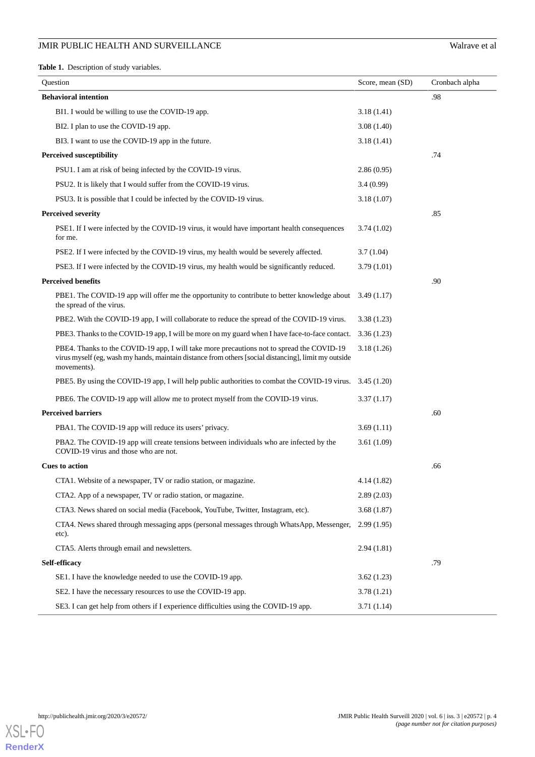<span id="page-3-0"></span>**Table 1.** Description of study variables.

| Question                                                                                                                                                                                                         | Score, mean (SD) | Cronbach alpha |
|------------------------------------------------------------------------------------------------------------------------------------------------------------------------------------------------------------------|------------------|----------------|
| <b>Behavioral intention</b>                                                                                                                                                                                      |                  | .98            |
| BI1. I would be willing to use the COVID-19 app.                                                                                                                                                                 | 3.18(1.41)       |                |
| BI2. I plan to use the COVID-19 app.                                                                                                                                                                             | 3.08 (1.40)      |                |
| BI3. I want to use the COVID-19 app in the future.                                                                                                                                                               | 3.18(1.41)       |                |
| <b>Perceived susceptibility</b>                                                                                                                                                                                  |                  | .74            |
| PSU1. I am at risk of being infected by the COVID-19 virus.                                                                                                                                                      | 2.86(0.95)       |                |
| PSU2. It is likely that I would suffer from the COVID-19 virus.                                                                                                                                                  | 3.4(0.99)        |                |
| PSU3. It is possible that I could be infected by the COVID-19 virus.                                                                                                                                             | 3.18(1.07)       |                |
| <b>Perceived severity</b>                                                                                                                                                                                        |                  | .85            |
| PSE1. If I were infected by the COVID-19 virus, it would have important health consequences<br>for me.                                                                                                           | 3.74(1.02)       |                |
| PSE2. If I were infected by the COVID-19 virus, my health would be severely affected.                                                                                                                            | 3.7(1.04)        |                |
| PSE3. If I were infected by the COVID-19 virus, my health would be significantly reduced.                                                                                                                        | 3.79(1.01)       |                |
| <b>Perceived benefits</b>                                                                                                                                                                                        |                  | .90            |
| PBE1. The COVID-19 app will offer me the opportunity to contribute to better knowledge about<br>the spread of the virus.                                                                                         | 3.49(1.17)       |                |
| PBE2. With the COVID-19 app, I will collaborate to reduce the spread of the COVID-19 virus.                                                                                                                      | 3.38(1.23)       |                |
| PBE3. Thanks to the COVID-19 app, I will be more on my guard when I have face-to-face contact.                                                                                                                   | 3.36(1.23)       |                |
| PBE4. Thanks to the COVID-19 app, I will take more precautions not to spread the COVID-19<br>virus myself (eg, wash my hands, maintain distance from others [social distancing], limit my outside<br>movements). | 3.18(1.26)       |                |
| PBE5. By using the COVID-19 app, I will help public authorities to combat the COVID-19 virus.                                                                                                                    | 3.45 (1.20)      |                |
| PBE6. The COVID-19 app will allow me to protect myself from the COVID-19 virus.                                                                                                                                  | 3.37 (1.17)      |                |
| <b>Perceived barriers</b>                                                                                                                                                                                        |                  | .60            |
| PBA1. The COVID-19 app will reduce its users' privacy.                                                                                                                                                           | 3.69(1.11)       |                |
| PBA2. The COVID-19 app will create tensions between individuals who are infected by the<br>COVID-19 virus and those who are not.                                                                                 | 3.61 (1.09)      |                |
| <b>Cues to action</b>                                                                                                                                                                                            |                  | .66            |
| CTA1. Website of a newspaper, TV or radio station, or magazine.                                                                                                                                                  | 4.14(1.82)       |                |
| CTA2. App of a newspaper, TV or radio station, or magazine.                                                                                                                                                      | 2.89(2.03)       |                |
| CTA3. News shared on social media (Facebook, YouTube, Twitter, Instagram, etc).                                                                                                                                  | 3.68(1.87)       |                |
| CTA4. News shared through messaging apps (personal messages through WhatsApp, Messenger,<br>etc).                                                                                                                | 2.99(1.95)       |                |
| CTA5. Alerts through email and newsletters.                                                                                                                                                                      | 2.94(1.81)       |                |
| Self-efficacy                                                                                                                                                                                                    |                  | .79            |
| SE1. I have the knowledge needed to use the COVID-19 app.                                                                                                                                                        | 3.62(1.23)       |                |
| SE2. I have the necessary resources to use the COVID-19 app.                                                                                                                                                     | 3.78(1.21)       |                |
| SE3. I can get help from others if I experience difficulties using the COVID-19 app.                                                                                                                             | 3.71(1.14)       |                |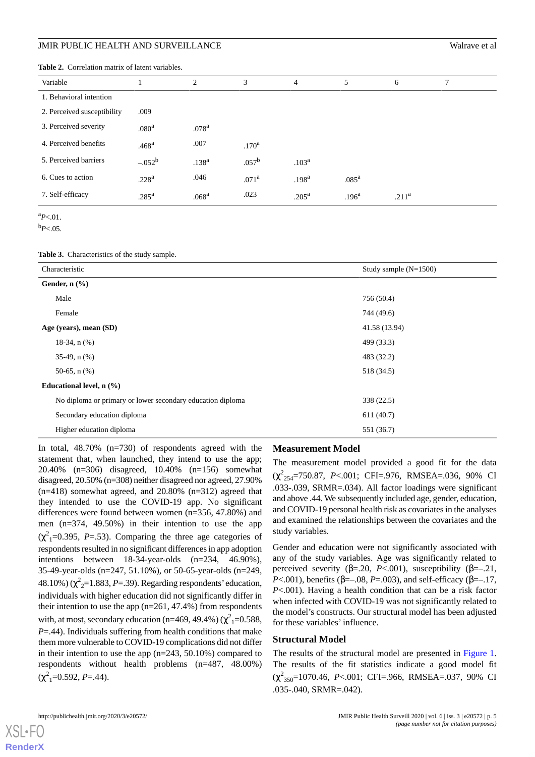<span id="page-4-0"></span>

|  | <b>Table 2.</b> Correlation matrix of latent variables. |  |  |  |  |
|--|---------------------------------------------------------|--|--|--|--|
|--|---------------------------------------------------------|--|--|--|--|

| Variable                    |                   | $\overline{2}$    | 3                 | $\overline{4}$    | 5                 | 6                 | 7 |
|-----------------------------|-------------------|-------------------|-------------------|-------------------|-------------------|-------------------|---|
| 1. Behavioral intention     |                   |                   |                   |                   |                   |                   |   |
| 2. Perceived susceptibility | .009              |                   |                   |                   |                   |                   |   |
| 3. Perceived severity       | .080 <sup>a</sup> | .078 <sup>a</sup> |                   |                   |                   |                   |   |
| 4. Perceived benefits       | .468 <sup>a</sup> | .007              | .170 <sup>a</sup> |                   |                   |                   |   |
| 5. Perceived barriers       | $-.052^b$         | $.138^{a}$        | $.057^{\rm b}$    | .103 <sup>a</sup> |                   |                   |   |
| 6. Cues to action           | .228 <sup>a</sup> | .046              | .071 <sup>a</sup> | .198 <sup>a</sup> | .085 <sup>a</sup> |                   |   |
| 7. Self-efficacy            | .285 <sup>a</sup> | .068 <sup>a</sup> | .023              | .205 <sup>a</sup> | .196 <sup>a</sup> | .211 <sup>a</sup> |   |

 $a_{P<.01}$ .

<span id="page-4-1"></span> $b_{P<.05}$ .

**Table 3.** Characteristics of the study sample.

| Characteristic                                             | Study sample $(N=1500)$ |
|------------------------------------------------------------|-------------------------|
| Gender, $n$ $(\%)$                                         |                         |
| Male                                                       | 756 (50.4)              |
| Female                                                     | 744 (49.6)              |
| Age (years), mean (SD)                                     | 41.58 (13.94)           |
| $18-34$ , n $(\%)$                                         | 499 (33.3)              |
| $35-49$ , n $(\%)$                                         | 483 (32.2)              |
| 50-65, $n$ (%)                                             | 518 (34.5)              |
| Educational level, $n$ $(\frac{9}{6})$                     |                         |
| No diploma or primary or lower secondary education diploma | 338 (22.5)              |
| Secondary education diploma                                | 611(40.7)               |
| Higher education diploma                                   | 551 (36.7)              |

In total, 48.70% (n=730) of respondents agreed with the statement that, when launched, they intend to use the app; 20.40% (n=306) disagreed, 10.40% (n=156) somewhat disagreed, 20.50% (n=308) neither disagreed nor agreed, 27.90%  $(n=418)$  somewhat agreed, and 20.80%  $(n=312)$  agreed that they intended to use the COVID-19 app. No significant differences were found between women (n=356, 47.80%) and men (n=374, 49.50%) in their intention to use the app  $(\chi^2)$ <sub>1</sub>=0.395, *P*=.53). Comparing the three age categories of respondents resulted in no significant differences in app adoption intentions between 18-34-year-olds (n=234, 46.90%), 35-49-year-olds (n=247, 51.10%), or 50-65-year-olds (n=249, 48.10%)  $(\chi^2_{2} = 1.883, P = .39)$ . Regarding respondents' education, individuals with higher education did not significantly differ in their intention to use the app (n=261, 47.4%) from respondents with, at most, secondary education (n=469, 49.4%) ( $\chi^2$ <sub>1</sub>=0.588, *P*=.44). Individuals suffering from health conditions that make them more vulnerable to COVID-19 complications did not differ in their intention to use the app  $(n=243, 50.10\%)$  compared to respondents without health problems (n=487, 48.00%)  $(\chi^2_{1} = 0.592, P = .44).$ 

#### **Measurement Model**

The measurement model provided a good fit for the data (χ<sup>2</sup><sub>254</sub>=750.87, *P*<.001; CFI=.976, RMSEA=.036, 90% CI .033-.039, SRMR=.034). All factor loadings were significant and above .44. We subsequently included age, gender, education, and COVID-19 personal health risk as covariates in the analyses and examined the relationships between the covariates and the study variables.

Gender and education were not significantly associated with any of the study variables. Age was significantly related to perceived severity ( $β = .20$ ,  $P < .001$ ), susceptibility ( $β = -.21$ , *P*<.001), benefits (β=–.08, *P*=.003), and self-efficacy (β=–.17, *P*<.001). Having a health condition that can be a risk factor when infected with COVID-19 was not significantly related to the model's constructs. Our structural model has been adjusted for these variables' influence.

#### **Structural Model**

The results of the structural model are presented in [Figure 1](#page-5-0). The results of the fit statistics indicate a good model fit (χ 2 <sup>350</sup>=1070.46, *P*<.001; CFI=.966, RMSEA=.037, 90% CI .035-.040, SRMR=.042).

 $XS$ l • FC **[RenderX](http://www.renderx.com/)**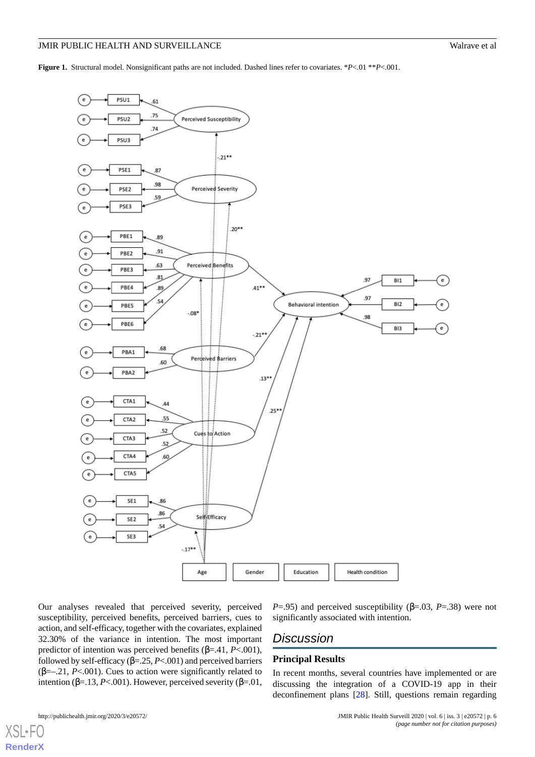<span id="page-5-0"></span>**Figure 1.** Structural model. Nonsignificant paths are not included. Dashed lines refer to covariates. \**P*<.01 \*\**P*<.001.



Our analyses revealed that perceived severity, perceived susceptibility, perceived benefits, perceived barriers, cues to action, and self-efficacy, together with the covariates, explained 32.30% of the variance in intention. The most important predictor of intention was perceived benefits (β=.41, *P*<.001), followed by self-efficacy  $(\beta = 25, P < .001)$  and perceived barriers ( $\beta$ =-.21, *P*<.001). Cues to action were significantly related to intention ( $β = .13$ ,  $P < .001$ ). However, perceived severity ( $β = .01$ ,

#### *P*=.95) and perceived susceptibility ( $\beta$ =.03, *P*=.38) were not significantly associated with intention.

# *Discussion*

#### **Principal Results**

In recent months, several countries have implemented or are discussing the integration of a COVID-19 app in their deconfinement plans [\[28](#page-8-16)]. Still, questions remain regarding

[XSL](http://www.w3.org/Style/XSL)•FO **[RenderX](http://www.renderx.com/)**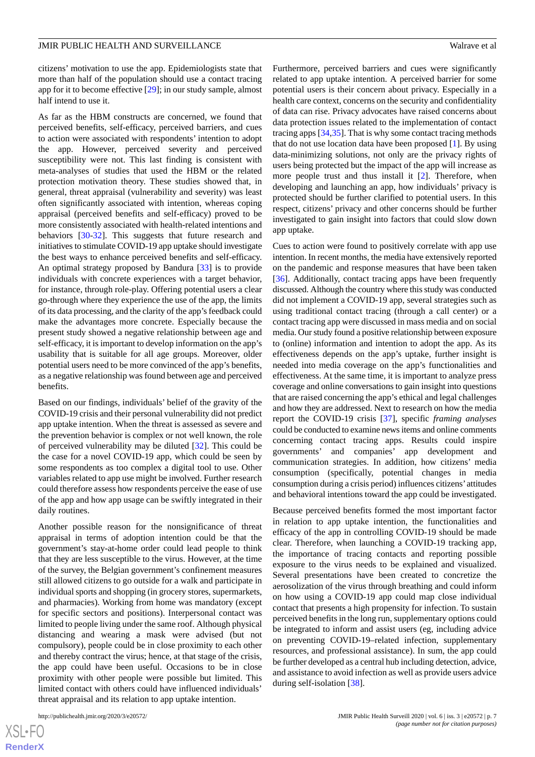citizens' motivation to use the app. Epidemiologists state that more than half of the population should use a contact tracing app for it to become effective [\[29](#page-8-17)]; in our study sample, almost half intend to use it.

As far as the HBM constructs are concerned, we found that perceived benefits, self-efficacy, perceived barriers, and cues to action were associated with respondents' intention to adopt the app. However, perceived severity and perceived susceptibility were not. This last finding is consistent with meta-analyses of studies that used the HBM or the related protection motivation theory. These studies showed that, in general, threat appraisal (vulnerability and severity) was least often significantly associated with intention, whereas coping appraisal (perceived benefits and self-efficacy) proved to be more consistently associated with health-related intentions and behaviors [\[30](#page-8-18)-[32\]](#page-8-19). This suggests that future research and initiatives to stimulate COVID-19 app uptake should investigate the best ways to enhance perceived benefits and self-efficacy. An optimal strategy proposed by Bandura [\[33](#page-8-20)] is to provide individuals with concrete experiences with a target behavior, for instance, through role-play. Offering potential users a clear go-through where they experience the use of the app, the limits of its data processing, and the clarity of the app's feedback could make the advantages more concrete. Especially because the present study showed a negative relationship between age and self-efficacy, it is important to develop information on the app's usability that is suitable for all age groups. Moreover, older potential users need to be more convinced of the app's benefits, as a negative relationship was found between age and perceived benefits.

Based on our findings, individuals' belief of the gravity of the COVID-19 crisis and their personal vulnerability did not predict app uptake intention. When the threat is assessed as severe and the prevention behavior is complex or not well known, the role of perceived vulnerability may be diluted [[32\]](#page-8-19). This could be the case for a novel COVID-19 app, which could be seen by some respondents as too complex a digital tool to use. Other variables related to app use might be involved. Further research could therefore assess how respondents perceive the ease of use of the app and how app usage can be swiftly integrated in their daily routines.

Another possible reason for the nonsignificance of threat appraisal in terms of adoption intention could be that the government's stay-at-home order could lead people to think that they are less susceptible to the virus. However, at the time of the survey, the Belgian government's confinement measures still allowed citizens to go outside for a walk and participate in individual sports and shopping (in grocery stores, supermarkets, and pharmacies). Working from home was mandatory (except for specific sectors and positions). Interpersonal contact was limited to people living under the same roof. Although physical distancing and wearing a mask were advised (but not compulsory), people could be in close proximity to each other and thereby contract the virus; hence, at that stage of the crisis, the app could have been useful. Occasions to be in close proximity with other people were possible but limited. This limited contact with others could have influenced individuals' threat appraisal and its relation to app uptake intention.

Furthermore, perceived barriers and cues were significantly related to app uptake intention. A perceived barrier for some potential users is their concern about privacy. Especially in a health care context, concerns on the security and confidentiality of data can rise. Privacy advocates have raised concerns about data protection issues related to the implementation of contact tracing apps [[34,](#page-8-21)[35\]](#page-8-22). That is why some contact tracing methods that do not use location data have been proposed [[1\]](#page-7-0). By using data-minimizing solutions, not only are the privacy rights of users being protected but the impact of the app will increase as more people trust and thus install it [\[2](#page-7-1)]. Therefore, when developing and launching an app, how individuals' privacy is protected should be further clarified to potential users. In this respect, citizens' privacy and other concerns should be further investigated to gain insight into factors that could slow down app uptake.

Cues to action were found to positively correlate with app use intention. In recent months, the media have extensively reported on the pandemic and response measures that have been taken [[36\]](#page-8-23). Additionally, contact tracing apps have been frequently discussed. Although the country where this study was conducted did not implement a COVID-19 app, several strategies such as using traditional contact tracing (through a call center) or a contact tracing app were discussed in mass media and on social media. Our study found a positive relationship between exposure to (online) information and intention to adopt the app. As its effectiveness depends on the app's uptake, further insight is needed into media coverage on the app's functionalities and effectiveness. At the same time, it is important to analyze press coverage and online conversations to gain insight into questions that are raised concerning the app's ethical and legal challenges and how they are addressed. Next to research on how the media report the COVID-19 crisis [[37\]](#page-8-24), specific *framing analyses* could be conducted to examine news items and online comments concerning contact tracing apps. Results could inspire governments' and companies' app development and communication strategies. In addition, how citizens' media consumption (specifically, potential changes in media consumption during a crisis period) influences citizens' attitudes and behavioral intentions toward the app could be investigated.

Because perceived benefits formed the most important factor in relation to app uptake intention, the functionalities and efficacy of the app in controlling COVID-19 should be made clear. Therefore, when launching a COVID-19 tracking app, the importance of tracing contacts and reporting possible exposure to the virus needs to be explained and visualized. Several presentations have been created to concretize the aerosolization of the virus through breathing and could inform on how using a COVID-19 app could map close individual contact that presents a high propensity for infection. To sustain perceived benefits in the long run, supplementary options could be integrated to inform and assist users (eg, including advice on preventing COVID-19–related infection, supplementary resources, and professional assistance). In sum, the app could be further developed as a central hub including detection, advice, and assistance to avoid infection as well as provide users advice during self-isolation [\[38](#page-9-0)].

[XSL](http://www.w3.org/Style/XSL)•FO **[RenderX](http://www.renderx.com/)**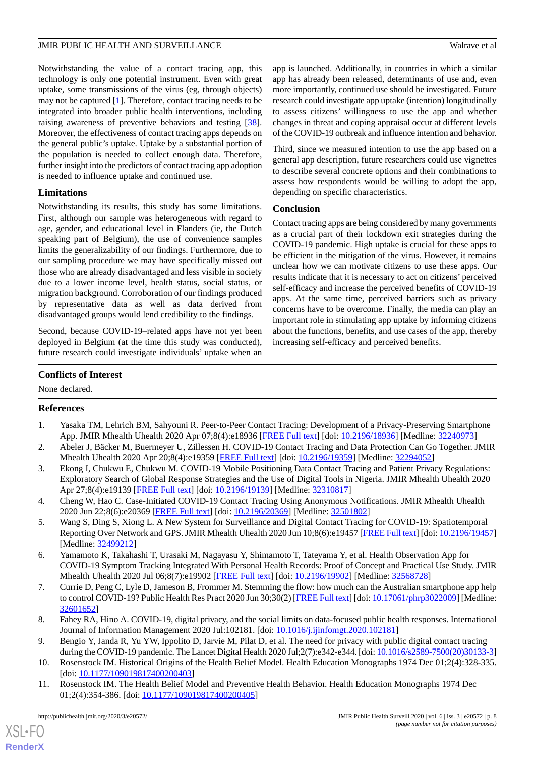Notwithstanding the value of a contact tracing app, this technology is only one potential instrument. Even with great uptake, some transmissions of the virus (eg, through objects) may not be captured [[1\]](#page-7-0). Therefore, contact tracing needs to be integrated into broader public health interventions, including raising awareness of preventive behaviors and testing [[38\]](#page-9-0). Moreover, the effectiveness of contact tracing apps depends on the general public's uptake. Uptake by a substantial portion of the population is needed to collect enough data. Therefore, further insight into the predictors of contact tracing app adoption is needed to influence uptake and continued use.

### **Limitations**

Notwithstanding its results, this study has some limitations. First, although our sample was heterogeneous with regard to age, gender, and educational level in Flanders (ie, the Dutch speaking part of Belgium), the use of convenience samples limits the generalizability of our findings. Furthermore, due to our sampling procedure we may have specifically missed out those who are already disadvantaged and less visible in society due to a lower income level, health status, social status, or migration background. Corroboration of our findings produced by representative data as well as data derived from disadvantaged groups would lend credibility to the findings.

Second, because COVID-19–related apps have not yet been deployed in Belgium (at the time this study was conducted), future research could investigate individuals' uptake when an

app is launched. Additionally, in countries in which a similar app has already been released, determinants of use and, even more importantly, continued use should be investigated. Future research could investigate app uptake (intention) longitudinally to assess citizens' willingness to use the app and whether changes in threat and coping appraisal occur at different levels of the COVID-19 outbreak and influence intention and behavior.

Third, since we measured intention to use the app based on a general app description, future researchers could use vignettes to describe several concrete options and their combinations to assess how respondents would be willing to adopt the app, depending on specific characteristics.

#### **Conclusion**

Contact tracing apps are being considered by many governments as a crucial part of their lockdown exit strategies during the COVID-19 pandemic. High uptake is crucial for these apps to be efficient in the mitigation of the virus. However, it remains unclear how we can motivate citizens to use these apps. Our results indicate that it is necessary to act on citizens' perceived self-efficacy and increase the perceived benefits of COVID-19 apps. At the same time, perceived barriers such as privacy concerns have to be overcome. Finally, the media can play an important role in stimulating app uptake by informing citizens about the functions, benefits, and use cases of the app, thereby increasing self-efficacy and perceived benefits.

### **Conflicts of Interest**

<span id="page-7-0"></span>None declared.

#### <span id="page-7-1"></span>**References**

- <span id="page-7-2"></span>1. Yasaka TM, Lehrich BM, Sahyouni R. Peer-to-Peer Contact Tracing: Development of a Privacy-Preserving Smartphone App. JMIR Mhealth Uhealth 2020 Apr 07;8(4):e18936 [\[FREE Full text](https://mhealth.jmir.org/2020/4/e18936/)] [doi: [10.2196/18936\]](http://dx.doi.org/10.2196/18936) [Medline: [32240973\]](http://www.ncbi.nlm.nih.gov/entrez/query.fcgi?cmd=Retrieve&db=PubMed&list_uids=32240973&dopt=Abstract)
- <span id="page-7-3"></span>2. Abeler J, Bäcker M, Buermeyer U, Zillessen H. COVID-19 Contact Tracing and Data Protection Can Go Together. JMIR Mhealth Uhealth 2020 Apr 20;8(4):e19359 [[FREE Full text\]](https://mhealth.jmir.org/2020/4/e19359/) [doi: [10.2196/19359](http://dx.doi.org/10.2196/19359)] [Medline: [32294052](http://www.ncbi.nlm.nih.gov/entrez/query.fcgi?cmd=Retrieve&db=PubMed&list_uids=32294052&dopt=Abstract)]
- 3. Ekong I, Chukwu E, Chukwu M. COVID-19 Mobile Positioning Data Contact Tracing and Patient Privacy Regulations: Exploratory Search of Global Response Strategies and the Use of Digital Tools in Nigeria. JMIR Mhealth Uhealth 2020 Apr 27;8(4):e19139 [\[FREE Full text](https://mhealth.jmir.org/2020/4/e19139/)] [doi: [10.2196/19139\]](http://dx.doi.org/10.2196/19139) [Medline: [32310817\]](http://www.ncbi.nlm.nih.gov/entrez/query.fcgi?cmd=Retrieve&db=PubMed&list_uids=32310817&dopt=Abstract)
- <span id="page-7-4"></span>4. Cheng W, Hao C. Case-Initiated COVID-19 Contact Tracing Using Anonymous Notifications. JMIR Mhealth Uhealth 2020 Jun 22;8(6):e20369 [[FREE Full text](https://mhealth.jmir.org/2020/6/e20369/)] [doi: [10.2196/20369\]](http://dx.doi.org/10.2196/20369) [Medline: [32501802\]](http://www.ncbi.nlm.nih.gov/entrez/query.fcgi?cmd=Retrieve&db=PubMed&list_uids=32501802&dopt=Abstract)
- <span id="page-7-5"></span>5. Wang S, Ding S, Xiong L. A New System for Surveillance and Digital Contact Tracing for COVID-19: Spatiotemporal Reporting Over Network and GPS. JMIR Mhealth Uhealth 2020 Jun 10;8(6):e19457 [[FREE Full text](https://mhealth.jmir.org/2020/6/e19457/)] [doi: [10.2196/19457](http://dx.doi.org/10.2196/19457)] [Medline: [32499212](http://www.ncbi.nlm.nih.gov/entrez/query.fcgi?cmd=Retrieve&db=PubMed&list_uids=32499212&dopt=Abstract)]
- <span id="page-7-6"></span>6. Yamamoto K, Takahashi T, Urasaki M, Nagayasu Y, Shimamoto T, Tateyama Y, et al. Health Observation App for COVID-19 Symptom Tracking Integrated With Personal Health Records: Proof of Concept and Practical Use Study. JMIR Mhealth Uhealth 2020 Jul 06;8(7):e19902 [[FREE Full text](https://mhealth.jmir.org/2020/7/e19902/)] [doi: [10.2196/19902\]](http://dx.doi.org/10.2196/19902) [Medline: [32568728](http://www.ncbi.nlm.nih.gov/entrez/query.fcgi?cmd=Retrieve&db=PubMed&list_uids=32568728&dopt=Abstract)]
- <span id="page-7-8"></span><span id="page-7-7"></span>7. Currie D, Peng C, Lyle D, Jameson B, Frommer M. Stemming the flow: how much can the Australian smartphone app help to control COVID-19? Public Health Res Pract 2020 Jun 30;30(2) [[FREE Full text\]](https://doi.org/10.17061/phrp3022009) [doi: [10.17061/phrp3022009](http://dx.doi.org/10.17061/phrp3022009)] [Medline: [32601652](http://www.ncbi.nlm.nih.gov/entrez/query.fcgi?cmd=Retrieve&db=PubMed&list_uids=32601652&dopt=Abstract)]
- <span id="page-7-9"></span>8. Fahey RA, Hino A. COVID-19, digital privacy, and the social limits on data-focused public health responses. International Journal of Information Management 2020 Jul:102181. [doi: [10.1016/j.ijinfomgt.2020.102181](http://dx.doi.org/10.1016/j.ijinfomgt.2020.102181)]
- 9. Bengio Y, Janda R, Yu YW, Ippolito D, Jarvie M, Pilat D, et al. The need for privacy with public digital contact tracing during the COVID-19 pandemic. The Lancet Digital Health 2020 Jul;2(7):e342-e344. [doi: [10.1016/s2589-7500\(20\)30133-3](http://dx.doi.org/10.1016/s2589-7500(20)30133-3)]
- 10. Rosenstock IM. Historical Origins of the Health Belief Model. Health Education Monographs 1974 Dec 01;2(4):328-335. [doi: [10.1177/109019817400200403](http://dx.doi.org/10.1177/109019817400200403)]
- 11. Rosenstock IM. The Health Belief Model and Preventive Health Behavior. Health Education Monographs 1974 Dec 01;2(4):354-386. [doi: [10.1177/109019817400200405\]](http://dx.doi.org/10.1177/109019817400200405)

 $XS$  • FO **[RenderX](http://www.renderx.com/)**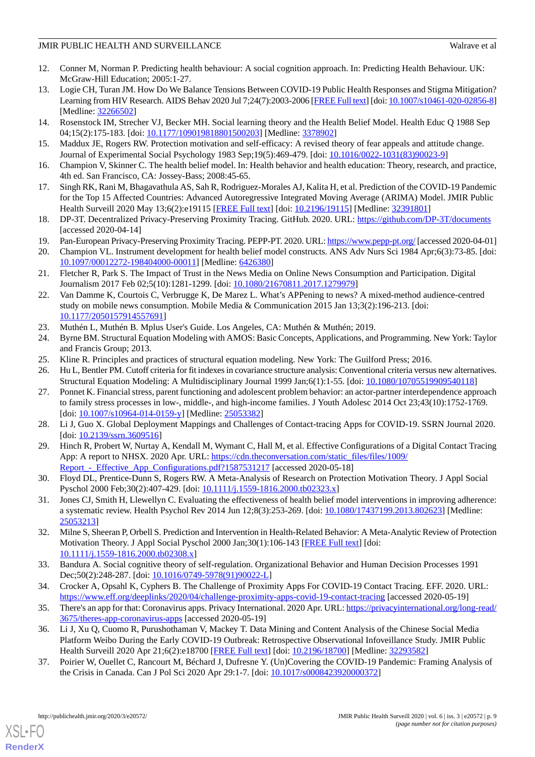- <span id="page-8-0"></span>12. Conner M, Norman P. Predicting health behaviour: A social cognition approach. In: Predicting Health Behaviour. UK: McGraw-Hill Education; 2005:1-27.
- <span id="page-8-1"></span>13. Logie CH, Turan JM. How Do We Balance Tensions Between COVID-19 Public Health Responses and Stigma Mitigation? Learning from HIV Research. AIDS Behav 2020 Jul 7;24(7):2003-2006 [[FREE Full text\]](http://europepmc.org/abstract/MED/32266502) [doi: [10.1007/s10461-020-02856-8\]](http://dx.doi.org/10.1007/s10461-020-02856-8) [Medline: [32266502](http://www.ncbi.nlm.nih.gov/entrez/query.fcgi?cmd=Retrieve&db=PubMed&list_uids=32266502&dopt=Abstract)]
- <span id="page-8-3"></span><span id="page-8-2"></span>14. Rosenstock IM, Strecher VJ, Becker MH. Social learning theory and the Health Belief Model. Health Educ Q 1988 Sep 04;15(2):175-183. [doi: [10.1177/109019818801500203\]](http://dx.doi.org/10.1177/109019818801500203) [Medline: [3378902\]](http://www.ncbi.nlm.nih.gov/entrez/query.fcgi?cmd=Retrieve&db=PubMed&list_uids=3378902&dopt=Abstract)
- <span id="page-8-4"></span>15. Maddux JE, Rogers RW. Protection motivation and self-efficacy: A revised theory of fear appeals and attitude change. Journal of Experimental Social Psychology 1983 Sep;19(5):469-479. [doi: [10.1016/0022-1031\(83\)90023-9](http://dx.doi.org/10.1016/0022-1031(83)90023-9)]
- <span id="page-8-5"></span>16. Champion V, Skinner C. The health belief model. In: Health behavior and health education: Theory, research, and practice, 4th ed. San Francisco, CA: Jossey-Bass; 2008:45-65.
- <span id="page-8-6"></span>17. Singh RK, Rani M, Bhagavathula AS, Sah R, Rodriguez-Morales AJ, Kalita H, et al. Prediction of the COVID-19 Pandemic for the Top 15 Affected Countries: Advanced Autoregressive Integrated Moving Average (ARIMA) Model. JMIR Public Health Surveill 2020 May 13;6(2):e19115 [\[FREE Full text\]](https://publichealth.jmir.org/2020/2/e19115/) [doi: [10.2196/19115](http://dx.doi.org/10.2196/19115)] [Medline: [32391801](http://www.ncbi.nlm.nih.gov/entrez/query.fcgi?cmd=Retrieve&db=PubMed&list_uids=32391801&dopt=Abstract)]
- <span id="page-8-8"></span><span id="page-8-7"></span>18. DP-3T. Decentralized Privacy-Preserving Proximity Tracing. GitHub. 2020. URL: <https://github.com/DP-3T/documents> [accessed 2020-04-14]
- 19. Pan-European Privacy-Preserving Proximity Tracing. PEPP-PT. 2020. URL:<https://www.pepp-pt.org/> [accessed 2020-04-01]
- <span id="page-8-9"></span>20. Champion VL. Instrument development for health belief model constructs. ANS Adv Nurs Sci 1984 Apr;6(3):73-85. [doi: [10.1097/00012272-198404000-00011](http://dx.doi.org/10.1097/00012272-198404000-00011)] [Medline: [6426380](http://www.ncbi.nlm.nih.gov/entrez/query.fcgi?cmd=Retrieve&db=PubMed&list_uids=6426380&dopt=Abstract)]
- <span id="page-8-10"></span>21. Fletcher R, Park S. The Impact of Trust in the News Media on Online News Consumption and Participation. Digital Journalism 2017 Feb 02;5(10):1281-1299. [doi: [10.1080/21670811.2017.1279979](http://dx.doi.org/10.1080/21670811.2017.1279979)]
- <span id="page-8-12"></span><span id="page-8-11"></span>22. Van Damme K, Courtois C, Verbrugge K, De Marez L. What's APPening to news? A mixed-method audience-centred study on mobile news consumption. Mobile Media & Communication 2015 Jan 13;3(2):196-213. [doi: [10.1177/2050157914557691\]](http://dx.doi.org/10.1177/2050157914557691)
- <span id="page-8-13"></span>23. Muthén L, Muthén B. Mplus User's Guide. Los Angeles, CA: Muthén & Muthén; 2019.
- <span id="page-8-14"></span>24. Byrne BM. Structural Equation Modeling with AMOS: Basic Concepts, Applications, and Programming. New York: Taylor and Francis Group; 2013.
- <span id="page-8-15"></span>25. Kline R. Principles and practices of structural equation modeling. New York: The Guilford Press; 2016.
- 26. Hu L, Bentler PM. Cutoff criteria for fit indexes in covariance structure analysis: Conventional criteria versus new alternatives. Structural Equation Modeling: A Multidisciplinary Journal 1999 Jan;6(1):1-55. [doi: [10.1080/10705519909540118\]](http://dx.doi.org/10.1080/10705519909540118)
- <span id="page-8-17"></span><span id="page-8-16"></span>27. Ponnet K. Financial stress, parent functioning and adolescent problem behavior: an actor-partner interdependence approach to family stress processes in low-, middle-, and high-income families. J Youth Adolesc 2014 Oct 23;43(10):1752-1769. [doi: [10.1007/s10964-014-0159-y](http://dx.doi.org/10.1007/s10964-014-0159-y)] [Medline: [25053382\]](http://www.ncbi.nlm.nih.gov/entrez/query.fcgi?cmd=Retrieve&db=PubMed&list_uids=25053382&dopt=Abstract)
- <span id="page-8-18"></span>28. Li J, Guo X. Global Deployment Mappings and Challenges of Contact-tracing Apps for COVID-19. SSRN Journal 2020. [doi: [10.2139/ssrn.3609516\]](http://dx.doi.org/10.2139/ssrn.3609516)
- 29. Hinch R, Probert W, Nurtay A, Kendall M, Wymant C, Hall M, et al. Effective Configurations of a Digital Contact Tracing App: A report to NHSX. 2020 Apr. URL: [https://cdn.theconversation.com/static\\_files/files/1009/](https://cdn.theconversation.com/static_files/files/1009/Report_-_Effective_App_Configurations.pdf?1587531217) Report - Effective App Configurations.pdf?1587531217 [accessed 2020-05-18]
- <span id="page-8-19"></span>30. Floyd DL, Prentice-Dunn S, Rogers RW. A Meta-Analysis of Research on Protection Motivation Theory. J Appl Social Pyschol 2000 Feb;30(2):407-429. [doi: [10.1111/j.1559-1816.2000.tb02323.x](http://dx.doi.org/10.1111/j.1559-1816.2000.tb02323.x)]
- <span id="page-8-20"></span>31. Jones CJ, Smith H, Llewellyn C. Evaluating the effectiveness of health belief model interventions in improving adherence: a systematic review. Health Psychol Rev 2014 Jun 12;8(3):253-269. [doi: [10.1080/17437199.2013.802623](http://dx.doi.org/10.1080/17437199.2013.802623)] [Medline: [25053213](http://www.ncbi.nlm.nih.gov/entrez/query.fcgi?cmd=Retrieve&db=PubMed&list_uids=25053213&dopt=Abstract)]
- <span id="page-8-22"></span><span id="page-8-21"></span>32. Milne S, Sheeran P, Orbell S. Prediction and Intervention in Health-Related Behavior: A Meta-Analytic Review of Protection Motivation Theory. J Appl Social Pyschol 2000 Jan;30(1):106-143 [[FREE Full text](https://onlinelibrary.wiley.com/doi/abs/10.1111/j.1559-1816.2000.tb02308.x)] [doi: [10.1111/j.1559-1816.2000.tb02308.x\]](http://dx.doi.org/10.1111/j.1559-1816.2000.tb02308.x)
- <span id="page-8-23"></span>33. Bandura A. Social cognitive theory of self-regulation. Organizational Behavior and Human Decision Processes 1991 Dec;50(2):248-287. [doi: [10.1016/0749-5978\(91\)90022-L](http://dx.doi.org/10.1016/0749-5978(91)90022-L)]
- <span id="page-8-24"></span>34. Crocker A, Opsahl K, Cyphers B. The Challenge of Proximity Apps For COVID-19 Contact Tracing. EFF. 2020. URL: <https://www.eff.org/deeplinks/2020/04/challenge-proximity-apps-covid-19-contact-tracing> [accessed 2020-05-19]
- 35. There's an app for that: Coronavirus apps. Privacy International. 2020 Apr. URL: [https://privacyinternational.org/long-read/](https://privacyinternational.org/long-read/3675/theres-app-coronavirus-apps) [3675/theres-app-coronavirus-apps](https://privacyinternational.org/long-read/3675/theres-app-coronavirus-apps) [accessed 2020-05-19]
- 36. Li J, Xu Q, Cuomo R, Purushothaman V, Mackey T. Data Mining and Content Analysis of the Chinese Social Media Platform Weibo During the Early COVID-19 Outbreak: Retrospective Observational Infoveillance Study. JMIR Public Health Surveill 2020 Apr 21;6(2):e18700 [[FREE Full text](https://publichealth.jmir.org/2020/2/e18700/)] [doi: [10.2196/18700\]](http://dx.doi.org/10.2196/18700) [Medline: [32293582](http://www.ncbi.nlm.nih.gov/entrez/query.fcgi?cmd=Retrieve&db=PubMed&list_uids=32293582&dopt=Abstract)]
- 37. Poirier W, Ouellet C, Rancourt M, Béchard J, Dufresne Y. (Un)Covering the COVID-19 Pandemic: Framing Analysis of the Crisis in Canada. Can J Pol Sci 2020 Apr 29:1-7. [doi: [10.1017/s0008423920000372\]](http://dx.doi.org/10.1017/s0008423920000372)

[XSL](http://www.w3.org/Style/XSL)•FO **[RenderX](http://www.renderx.com/)**